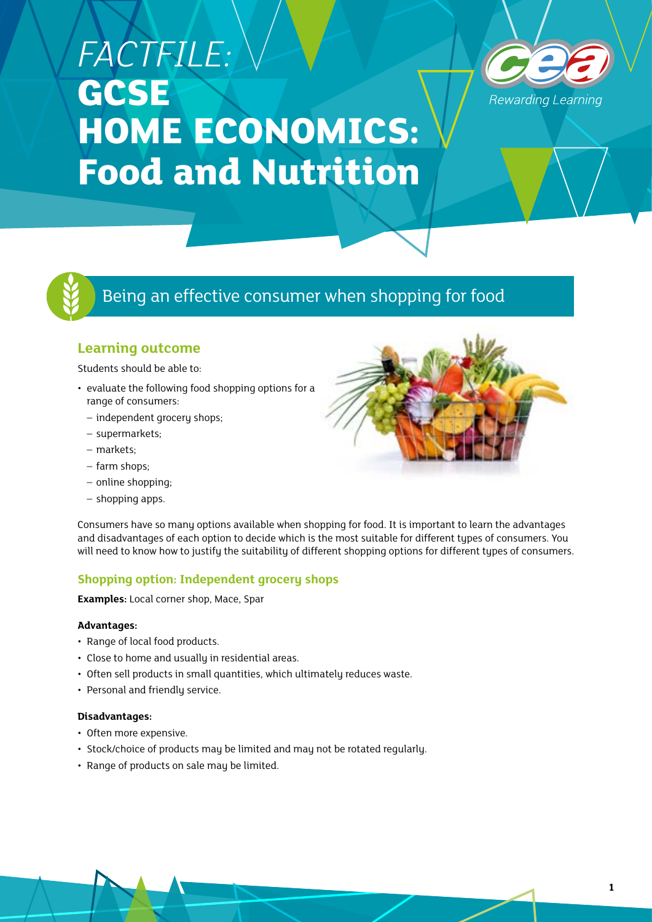# *FACTFILE:*  **GCSE HOME ECONOMICS: Food and Nutrition**





# Being an effective consumer when shopping for food

# **Learning outcome**

Students should be able to:

- evaluate the following food shopping options for a range of consumers:
	- independent grocery shops;
	- supermarkets;
	- markets;
	- farm shops;
	- online shopping;
	- shopping apps.

Consumers have so many options available when shopping for food. It is important to learn the advantages and disadvantages of each option to decide which is the most suitable for different types of consumers. You will need to know how to justify the suitability of different shopping options for different types of consumers.

# **Shopping option: Independent grocery shops**

**Examples:** Local corner shop, Mace, Spar

# **Advantages:**

- Range of local food products.
- Close to home and usually in residential areas.
- Often sell products in small quantities, which ultimately reduces waste.
- Personal and friendly service.

# **Disadvantages:**

- Often more expensive.
- Stock/choice of products may be limited and may not be rotated regularly.
- Range of products on sale may be limited.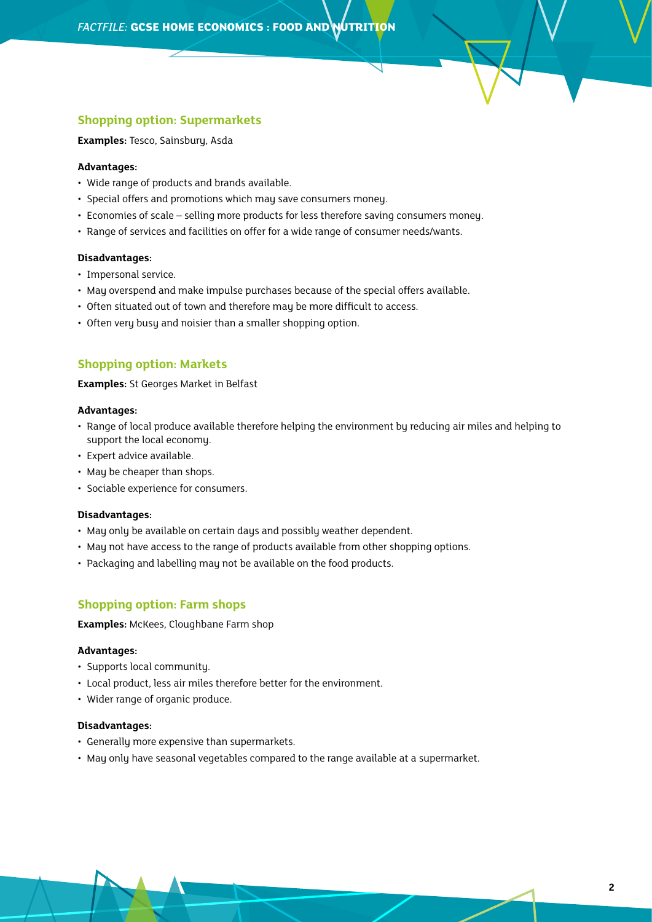# **Shopping option: Supermarkets**

**Examples:** Tesco, Sainsbury, Asda

# **Advantages:**

- Wide range of products and brands available.
- Special offers and promotions which may save consumers money.
- Economies of scale selling more products for less therefore saving consumers money.
- Range of services and facilities on offer for a wide range of consumer needs/wants.

# **Disadvantages:**

- Impersonal service.
- May overspend and make impulse purchases because of the special offers available.
- Often situated out of town and therefore may be more difficult to access.
- Often very busy and noisier than a smaller shopping option.

# **Shopping option: Markets**

**Examples:** St Georges Market in Belfast

#### **Advantages:**

- Range of local produce available therefore helping the environment by reducing air miles and helping to support the local economy.
- Expert advice available.
- May be cheaper than shops.
- Sociable experience for consumers.

#### **Disadvantages:**

- May only be available on certain days and possibly weather dependent.
- May not have access to the range of products available from other shopping options.
- Packaging and labelling may not be available on the food products.

# **Shopping option: Farm shops**

**Examples:** McKees, Cloughbane Farm shop

## **Advantages:**

- Supports local community.
- Local product, less air miles therefore better for the environment.
- Wider range of organic produce.

#### **Disadvantages:**

- Generally more expensive than supermarkets.
- May only have seasonal vegetables compared to the range available at a supermarket.